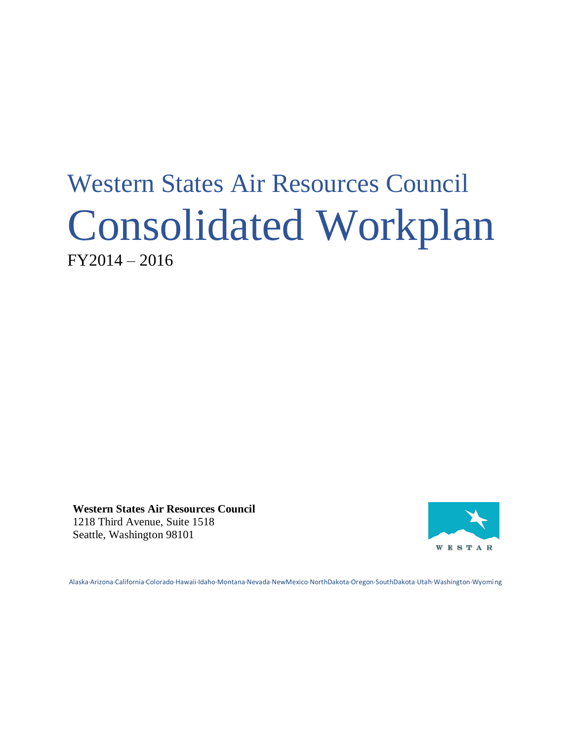# Western States Air Resources Council Consolidated Workplan FY2014 – 2016

**Western States Air Resources Council** 1218 Third Avenue, Suite 1518 Seattle, Washington 98101



Alaska·Arizona·California·Colorado·Hawaii·Idaho·Montana·Nevada·NewMexico·NorthDakota·Oregon·SouthDakota·Utah·Washington·Wyoming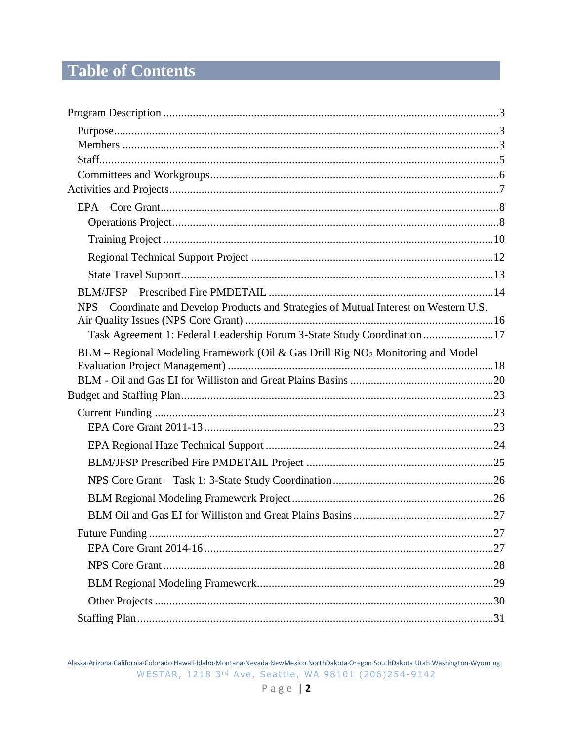# **Table of Contents**

| NPS – Coordinate and Develop Products and Strategies of Mutual Interest on Western U.S.     |  |
|---------------------------------------------------------------------------------------------|--|
|                                                                                             |  |
| Task Agreement 1: Federal Leadership Forum 3-State Study Coordination 17                    |  |
| BLM – Regional Modeling Framework (Oil & Gas Drill Rig NO <sub>2</sub> Monitoring and Model |  |
|                                                                                             |  |
|                                                                                             |  |
|                                                                                             |  |
|                                                                                             |  |
|                                                                                             |  |
|                                                                                             |  |
|                                                                                             |  |
|                                                                                             |  |
|                                                                                             |  |
|                                                                                             |  |
|                                                                                             |  |
|                                                                                             |  |
|                                                                                             |  |
|                                                                                             |  |
|                                                                                             |  |

Alaska-Arizona-California-Colorado-Hawaii-Idaho-Montana-Nevada-NewMexico-NorthDakota-Oregon-SouthDakota-Utah-Washington-Wyoming WESTAR, 1218 3rd Ave, Seattle, WA 98101 (206)254-9142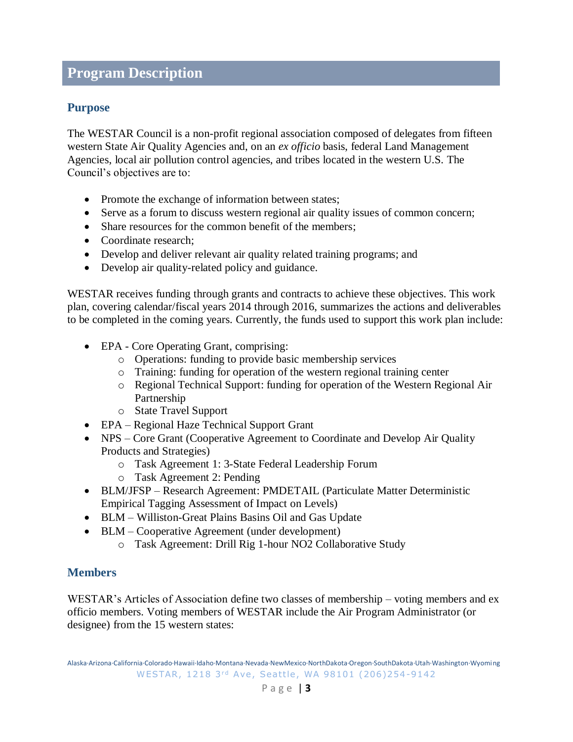# <span id="page-2-0"></span>**Program Description**

# <span id="page-2-1"></span>**Purpose**

The WESTAR Council is a non-profit regional association composed of delegates from fifteen western State Air Quality Agencies and, on an *ex officio* basis, federal Land Management Agencies, local air pollution control agencies, and tribes located in the western U.S. The Council's objectives are to:

- Promote the exchange of information between states;
- Serve as a forum to discuss western regional air quality issues of common concern;
- Share resources for the common benefit of the members;
- Coordinate research:
- Develop and deliver relevant air quality related training programs; and
- Develop air quality-related policy and guidance.

WESTAR receives funding through grants and contracts to achieve these objectives. This work plan, covering calendar/fiscal years 2014 through 2016, summarizes the actions and deliverables to be completed in the coming years. Currently, the funds used to support this work plan include:

- EPA Core Operating Grant, comprising:
	- o Operations: funding to provide basic membership services
	- o Training: funding for operation of the western regional training center
	- o Regional Technical Support: funding for operation of the Western Regional Air Partnership
	- o State Travel Support
- EPA Regional Haze Technical Support Grant
- NPS Core Grant (Cooperative Agreement to Coordinate and Develop Air Quality Products and Strategies)
	- o Task Agreement 1: 3-State Federal Leadership Forum
	- o Task Agreement 2: Pending
- BLM/JFSP Research Agreement: PMDETAIL (Particulate Matter Deterministic Empirical Tagging Assessment of Impact on Levels)
- BLM Williston-Great Plains Basins Oil and Gas Update
- BLM Cooperative Agreement (under development)
	- o Task Agreement: Drill Rig 1-hour NO2 Collaborative Study

# <span id="page-2-2"></span>**Members**

WESTAR's Articles of Association define two classes of membership – voting members and ex officio members. Voting members of WESTAR include the Air Program Administrator (or designee) from the 15 western states: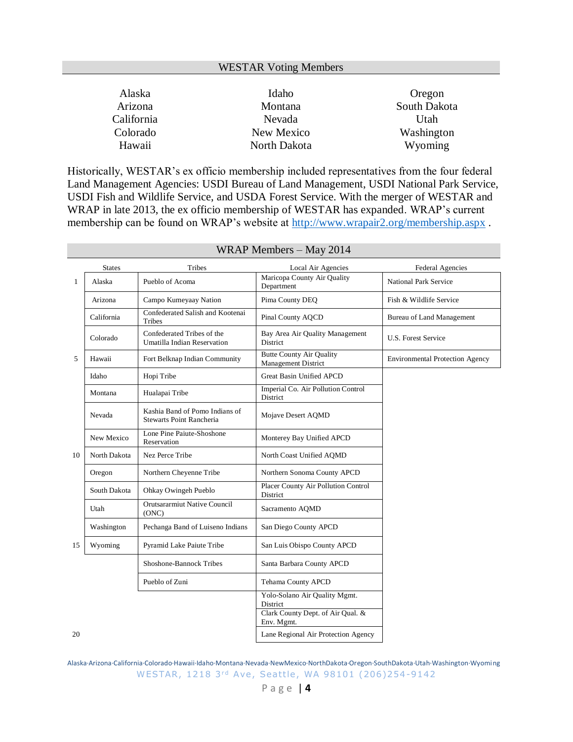#### WESTAR Voting Members

| Alaska     | Idaho        | Oregon       |
|------------|--------------|--------------|
| Arizona    | Montana      | South Dakota |
| California | Nevada       | Utah         |
| Colorado   | New Mexico   | Washington   |
| Hawaii     | North Dakota | Wyoming      |

Historically, WESTAR's ex officio membership included representatives from the four federal Land Management Agencies: USDI Bureau of Land Management, USDI National Park Service, USDI Fish and Wildlife Service, and USDA Forest Service. With the merger of WESTAR and WRAP in late 2013, the ex officio membership of WESTAR has expanded. WRAP's current membership can be found on WRAP's website at<http://www.wrapair2.org/membership.aspx> .

|    | <b>States</b> | Tribes                                                            | Local Air Agencies                                            | <b>Federal Agencies</b>                |
|----|---------------|-------------------------------------------------------------------|---------------------------------------------------------------|----------------------------------------|
| 1  | Alaska        | Pueblo of Acoma                                                   | Maricopa County Air Quality<br>Department                     | <b>National Park Service</b>           |
|    | Arizona       | Campo Kumeyaay Nation                                             | Pima County DEQ                                               | Fish & Wildlife Service                |
|    | California    | Confederated Salish and Kootenai<br>Tribes                        | Pinal County AOCD                                             | Bureau of Land Management              |
|    | Colorado      | Confederated Tribes of the<br>Umatilla Indian Reservation         | Bay Area Air Quality Management<br>District                   | <b>U.S. Forest Service</b>             |
| 5  | Hawaii        | Fort Belknap Indian Community                                     | <b>Butte County Air Quality</b><br><b>Management District</b> | <b>Environmental Protection Agency</b> |
|    | Idaho         | Hopi Tribe                                                        | Great Basin Unified APCD                                      |                                        |
|    | Montana       | Hualapai Tribe                                                    | Imperial Co. Air Pollution Control<br>District                |                                        |
|    | Nevada        | Kashia Band of Pomo Indians of<br><b>Stewarts Point Rancheria</b> | Mojave Desert AQMD                                            |                                        |
|    | New Mexico    | Lone Pine Paiute-Shoshone<br>Reservation                          | Monterey Bay Unified APCD                                     |                                        |
| 10 | North Dakota  | Nez Perce Tribe                                                   | North Coast Unified AQMD                                      |                                        |
|    | Oregon        | Northern Cheyenne Tribe                                           | Northern Sonoma County APCD                                   |                                        |
|    | South Dakota  | Ohkay Owingeh Pueblo                                              | Placer County Air Pollution Control<br>District               |                                        |
|    | Utah          | Orutsararmiut Native Council<br>(ONC)                             | Sacramento AQMD                                               |                                        |
|    | Washington    | Pechanga Band of Luiseno Indians                                  | San Diego County APCD                                         |                                        |
| 15 | Wyoming       | Pyramid Lake Paiute Tribe                                         | San Luis Obispo County APCD                                   |                                        |
|    |               | Shoshone-Bannock Tribes                                           | Santa Barbara County APCD                                     |                                        |
|    |               | Pueblo of Zuni                                                    | Tehama County APCD                                            |                                        |
|    |               |                                                                   | Yolo-Solano Air Quality Mgmt.<br>District                     |                                        |
|    |               |                                                                   | Clark County Dept. of Air Qual. &<br>Env. Mgmt.               |                                        |
| 20 |               |                                                                   | Lane Regional Air Protection Agency                           |                                        |

#### WRAP Members – May 2014

Alaska·Arizona·California·Colorado·Hawaii·Idaho·Montana·Nevada·NewMexico·NorthDakota·Oregon·SouthDakota·Utah·Washington·Wyoming WESTAR, 1218 3rd Ave, Seattle, WA 98101 (206)254-9142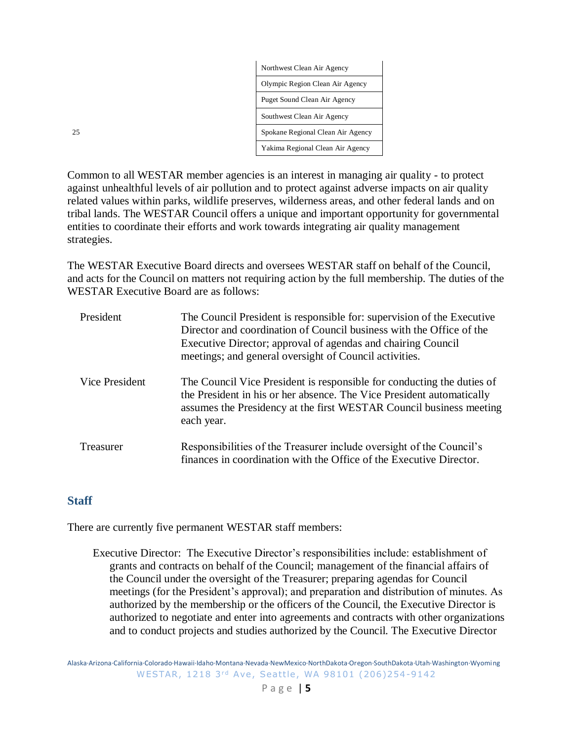|    | Northwest Clean Air Agency        |
|----|-----------------------------------|
|    | Olympic Region Clean Air Agency   |
|    | Puget Sound Clean Air Agency      |
|    | Southwest Clean Air Agency        |
| 25 | Spokane Regional Clean Air Agency |
|    | Yakima Regional Clean Air Agency  |

Common to all WESTAR member agencies is an interest in managing air quality - to protect against unhealthful levels of air pollution and to protect against adverse impacts on air quality related values within parks, wildlife preserves, wilderness areas, and other federal lands and on tribal lands. The WESTAR Council offers a unique and important opportunity for governmental entities to coordinate their efforts and work towards integrating air quality management strategies.

The WESTAR Executive Board directs and oversees WESTAR staff on behalf of the Council, and acts for the Council on matters not requiring action by the full membership. The duties of the WESTAR Executive Board are as follows:

| President      | The Council President is responsible for: supervision of the Executive<br>Director and coordination of Council business with the Office of the<br>Executive Director; approval of agendas and chairing Council<br>meetings; and general oversight of Council activities. |
|----------------|--------------------------------------------------------------------------------------------------------------------------------------------------------------------------------------------------------------------------------------------------------------------------|
| Vice President | The Council Vice President is responsible for conducting the duties of<br>the President in his or her absence. The Vice President automatically<br>assumes the Presidency at the first WESTAR Council business meeting<br>each year.                                     |
| Treasurer      | Responsibilities of the Treasurer include oversight of the Council's<br>finances in coordination with the Office of the Executive Director.                                                                                                                              |

# <span id="page-4-0"></span>**Staff**

There are currently five permanent WESTAR staff members:

Executive Director: The Executive Director's responsibilities include: establishment of grants and contracts on behalf of the Council; management of the financial affairs of the Council under the oversight of the Treasurer; preparing agendas for Council meetings (for the President's approval); and preparation and distribution of minutes. As authorized by the membership or the officers of the Council, the Executive Director is authorized to negotiate and enter into agreements and contracts with other organizations and to conduct projects and studies authorized by the Council. The Executive Director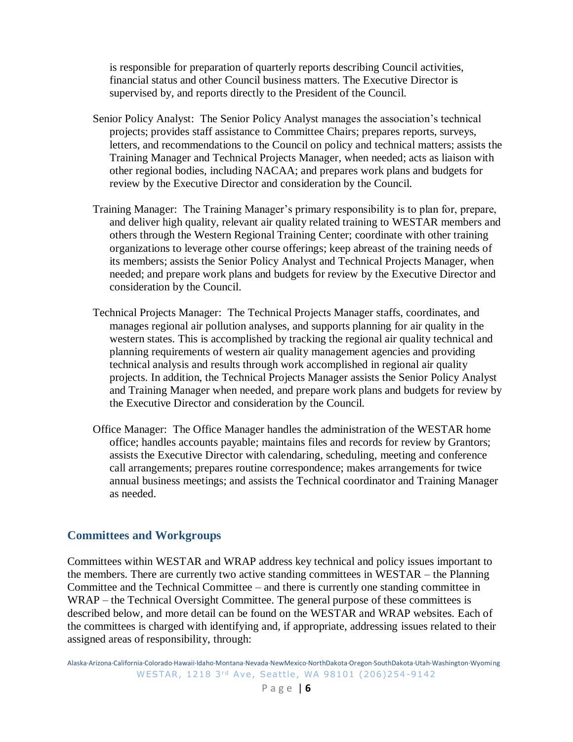is responsible for preparation of quarterly reports describing Council activities, financial status and other Council business matters. The Executive Director is supervised by, and reports directly to the President of the Council.

- Senior Policy Analyst: The Senior Policy Analyst manages the association's technical projects; provides staff assistance to Committee Chairs; prepares reports, surveys, letters, and recommendations to the Council on policy and technical matters; assists the Training Manager and Technical Projects Manager, when needed; acts as liaison with other regional bodies, including NACAA; and prepares work plans and budgets for review by the Executive Director and consideration by the Council.
- Training Manager: The Training Manager's primary responsibility is to plan for, prepare, and deliver high quality, relevant air quality related training to WESTAR members and others through the Western Regional Training Center; coordinate with other training organizations to leverage other course offerings; keep abreast of the training needs of its members; assists the Senior Policy Analyst and Technical Projects Manager, when needed; and prepare work plans and budgets for review by the Executive Director and consideration by the Council.
- Technical Projects Manager: The Technical Projects Manager staffs, coordinates, and manages regional air pollution analyses, and supports planning for air quality in the western states. This is accomplished by tracking the regional air quality technical and planning requirements of western air quality management agencies and providing technical analysis and results through work accomplished in regional air quality projects. In addition, the Technical Projects Manager assists the Senior Policy Analyst and Training Manager when needed, and prepare work plans and budgets for review by the Executive Director and consideration by the Council.
- Office Manager: The Office Manager handles the administration of the WESTAR home office; handles accounts payable; maintains files and records for review by Grantors; assists the Executive Director with calendaring, scheduling, meeting and conference call arrangements; prepares routine correspondence; makes arrangements for twice annual business meetings; and assists the Technical coordinator and Training Manager as needed.

#### <span id="page-5-0"></span>**Committees and Workgroups**

Committees within WESTAR and WRAP address key technical and policy issues important to the members. There are currently two active standing committees in WESTAR – the Planning Committee and the Technical Committee – and there is currently one standing committee in WRAP – the Technical Oversight Committee. The general purpose of these committees is described below, and more detail can be found on the WESTAR and WRAP websites. Each of the committees is charged with identifying and, if appropriate, addressing issues related to their assigned areas of responsibility, through:

Alaska·Arizona·California·Colorado·Hawaii·Idaho·Montana·Nevada·NewMexico·NorthDakota·Oregon·SouthDakota·Utah·Washington·Wyoming WESTAR, 1218 3rd Ave, Seattle, WA 98101 (206)254-9142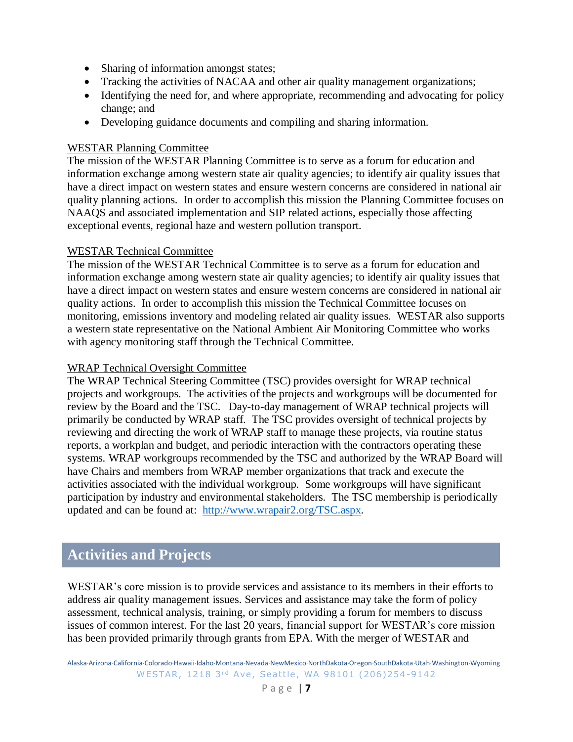- Sharing of information amongst states;
- Tracking the activities of NACAA and other air quality management organizations;
- Identifying the need for, and where appropriate, recommending and advocating for policy change; and
- Developing guidance documents and compiling and sharing information.

#### WESTAR Planning Committee

The mission of the WESTAR Planning Committee is to serve as a forum for education and information exchange among western state air quality agencies; to identify air quality issues that have a direct impact on western states and ensure western concerns are considered in national air quality planning actions. In order to accomplish this mission the Planning Committee focuses on NAAQS and associated implementation and SIP related actions, especially those affecting exceptional events, regional haze and western pollution transport.

#### WESTAR Technical Committee

The mission of the WESTAR Technical Committee is to serve as a forum for education and information exchange among western state air quality agencies; to identify air quality issues that have a direct impact on western states and ensure western concerns are considered in national air quality actions. In order to accomplish this mission the Technical Committee focuses on monitoring, emissions inventory and modeling related air quality issues. WESTAR also supports a western state representative on the National Ambient Air Monitoring Committee who works with agency monitoring staff through the Technical Committee.

#### WRAP Technical Oversight Committee

The WRAP Technical Steering Committee (TSC) provides oversight for WRAP technical projects and workgroups. The activities of the projects and workgroups will be documented for review by the Board and the TSC. Day-to-day management of WRAP technical projects will primarily be conducted by WRAP staff. The TSC provides oversight of technical projects by reviewing and directing the work of WRAP staff to manage these projects, via routine status reports, a workplan and budget, and periodic interaction with the contractors operating these systems. WRAP workgroups recommended by the TSC and authorized by the WRAP Board will have Chairs and members from WRAP member organizations that track and execute the activities associated with the individual workgroup. Some workgroups will have significant participation by industry and environmental stakeholders. The TSC membership is periodically updated and can be found at: [http://www.wrapair2.org/TSC.aspx.](http://www.wrapair2.org/TSC.aspx)

# <span id="page-6-0"></span>**Activities and Projects**

WESTAR's core mission is to provide services and assistance to its members in their efforts to address air quality management issues. Services and assistance may take the form of policy assessment, technical analysis, training, or simply providing a forum for members to discuss issues of common interest. For the last 20 years, financial support for WESTAR's core mission has been provided primarily through grants from EPA. With the merger of WESTAR and

Alaska·Arizona·California·Colorado·Hawaii·Idaho·Montana·Nevada·NewMexico·NorthDakota·Oregon·SouthDakota·Utah·Washington·Wyoming WESTAR, 1218 3rd Ave, Seattle, WA 98101 (206)254-9142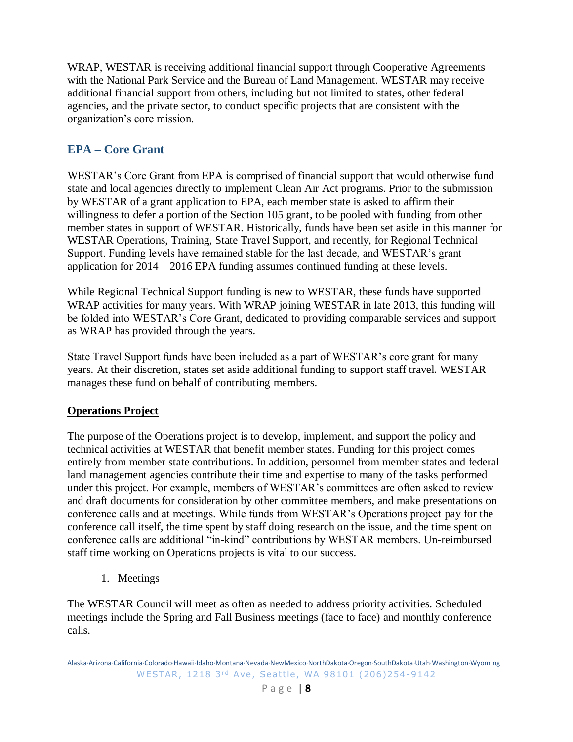WRAP, WESTAR is receiving additional financial support through Cooperative Agreements with the National Park Service and the Bureau of Land Management. WESTAR may receive additional financial support from others, including but not limited to states, other federal agencies, and the private sector, to conduct specific projects that are consistent with the organization's core mission.

# <span id="page-7-0"></span>**EPA – Core Grant**

WESTAR's Core Grant from EPA is comprised of financial support that would otherwise fund state and local agencies directly to implement Clean Air Act programs. Prior to the submission by WESTAR of a grant application to EPA, each member state is asked to affirm their willingness to defer a portion of the Section 105 grant, to be pooled with funding from other member states in support of WESTAR. Historically, funds have been set aside in this manner for WESTAR Operations, Training, State Travel Support, and recently, for Regional Technical Support. Funding levels have remained stable for the last decade, and WESTAR's grant application for 2014 – 2016 EPA funding assumes continued funding at these levels.

While Regional Technical Support funding is new to WESTAR, these funds have supported WRAP activities for many years. With WRAP joining WESTAR in late 2013, this funding will be folded into WESTAR's Core Grant, dedicated to providing comparable services and support as WRAP has provided through the years.

State Travel Support funds have been included as a part of WESTAR's core grant for many years. At their discretion, states set aside additional funding to support staff travel. WESTAR manages these fund on behalf of contributing members.

# <span id="page-7-1"></span>**Operations Project**

The purpose of the Operations project is to develop, implement, and support the policy and technical activities at WESTAR that benefit member states. Funding for this project comes entirely from member state contributions. In addition, personnel from member states and federal land management agencies contribute their time and expertise to many of the tasks performed under this project. For example, members of WESTAR's committees are often asked to review and draft documents for consideration by other committee members, and make presentations on conference calls and at meetings. While funds from WESTAR's Operations project pay for the conference call itself, the time spent by staff doing research on the issue, and the time spent on conference calls are additional "in-kind" contributions by WESTAR members. Un-reimbursed staff time working on Operations projects is vital to our success.

1. Meetings

The WESTAR Council will meet as often as needed to address priority activities. Scheduled meetings include the Spring and Fall Business meetings (face to face) and monthly conference calls.

Alaska·Arizona·California·Colorado·Hawaii·Idaho·Montana·Nevada·NewMexico·NorthDakota·Oregon·SouthDakota·Utah·Washington·Wyoming WESTAR, 1218 3rd Ave, Seattle, WA 98101 (206)254-9142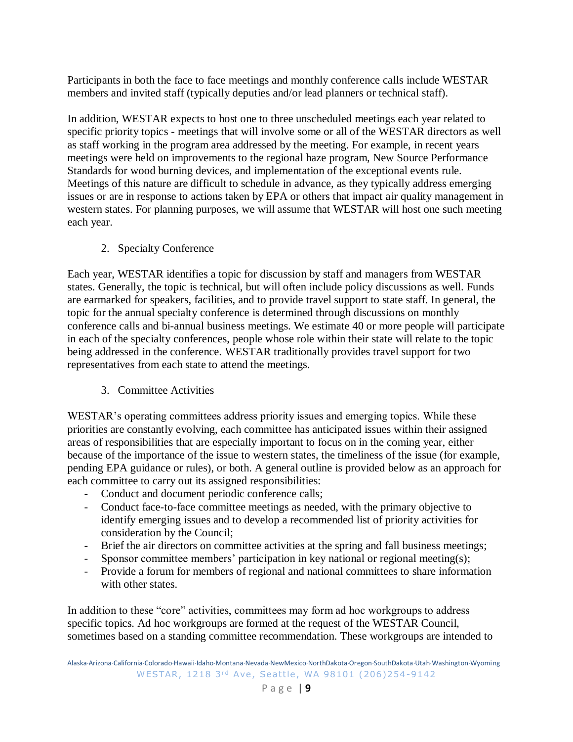Participants in both the face to face meetings and monthly conference calls include WESTAR members and invited staff (typically deputies and/or lead planners or technical staff).

In addition, WESTAR expects to host one to three unscheduled meetings each year related to specific priority topics - meetings that will involve some or all of the WESTAR directors as well as staff working in the program area addressed by the meeting. For example, in recent years meetings were held on improvements to the regional haze program, New Source Performance Standards for wood burning devices, and implementation of the exceptional events rule. Meetings of this nature are difficult to schedule in advance, as they typically address emerging issues or are in response to actions taken by EPA or others that impact air quality management in western states. For planning purposes, we will assume that WESTAR will host one such meeting each year.

2. Specialty Conference

Each year, WESTAR identifies a topic for discussion by staff and managers from WESTAR states. Generally, the topic is technical, but will often include policy discussions as well. Funds are earmarked for speakers, facilities, and to provide travel support to state staff. In general, the topic for the annual specialty conference is determined through discussions on monthly conference calls and bi-annual business meetings. We estimate 40 or more people will participate in each of the specialty conferences, people whose role within their state will relate to the topic being addressed in the conference. WESTAR traditionally provides travel support for two representatives from each state to attend the meetings.

3. Committee Activities

WESTAR's operating committees address priority issues and emerging topics. While these priorities are constantly evolving, each committee has anticipated issues within their assigned areas of responsibilities that are especially important to focus on in the coming year, either because of the importance of the issue to western states, the timeliness of the issue (for example, pending EPA guidance or rules), or both. A general outline is provided below as an approach for each committee to carry out its assigned responsibilities:

- Conduct and document periodic conference calls;
- Conduct face-to-face committee meetings as needed, with the primary objective to identify emerging issues and to develop a recommended list of priority activities for consideration by the Council;
- Brief the air directors on committee activities at the spring and fall business meetings;
- Sponsor committee members' participation in key national or regional meeting(s);
- Provide a forum for members of regional and national committees to share information with other states.

In addition to these "core" activities, committees may form ad hoc workgroups to address specific topics. Ad hoc workgroups are formed at the request of the WESTAR Council, sometimes based on a standing committee recommendation. These workgroups are intended to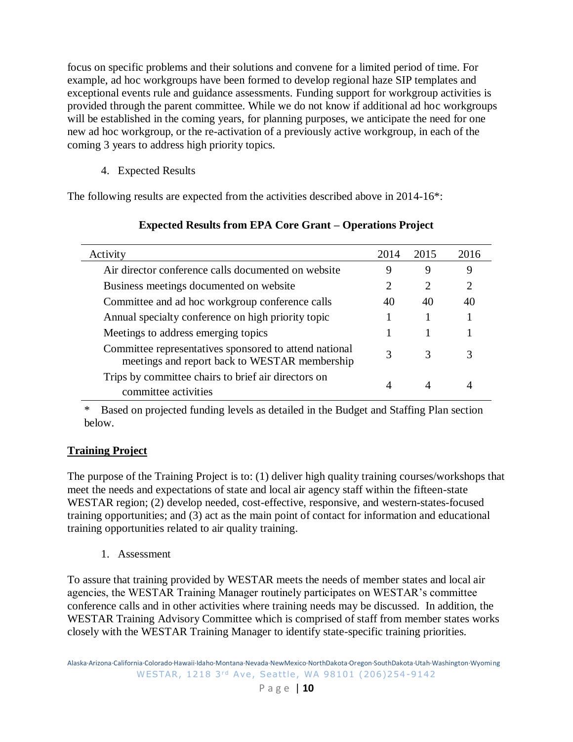focus on specific problems and their solutions and convene for a limited period of time. For example, ad hoc workgroups have been formed to develop regional haze SIP templates and exceptional events rule and guidance assessments. Funding support for workgroup activities is provided through the parent committee. While we do not know if additional ad hoc workgroups will be established in the coming years, for planning purposes, we anticipate the need for one new ad hoc workgroup, or the re-activation of a previously active workgroup, in each of the coming 3 years to address high priority topics.

4. Expected Results

The following results are expected from the activities described above in 2014-16\*:

| Activity                                                                                                | 2014 | 2015                        | 2016                        |
|---------------------------------------------------------------------------------------------------------|------|-----------------------------|-----------------------------|
| Air director conference calls documented on website                                                     | 9    | 9                           | 9                           |
| Business meetings documented on website                                                                 |      | $\mathcal{D}_{\mathcal{L}}$ | $\mathcal{D}_{\mathcal{L}}$ |
| Committee and ad hoc workgroup conference calls                                                         | 40   | 40                          | 40                          |
| Annual specialty conference on high priority topic                                                      |      |                             |                             |
| Meetings to address emerging topics                                                                     |      |                             |                             |
| Committee representatives sponsored to attend national<br>meetings and report back to WESTAR membership | 3    | 3                           | 3                           |
| Trips by committee chairs to brief air directors on<br>committee activities                             |      | 4                           |                             |

# **Expected Results from EPA Core Grant – Operations Project**

\* Based on projected funding levels as detailed in the Budget and Staffing Plan section below.

# <span id="page-9-0"></span>**Training Project**

The purpose of the Training Project is to: (1) deliver high quality training courses/workshops that meet the needs and expectations of state and local air agency staff within the fifteen-state WESTAR region; (2) develop needed, cost-effective, responsive, and western-states-focused training opportunities; and (3) act as the main point of contact for information and educational training opportunities related to air quality training.

1. Assessment

To assure that training provided by WESTAR meets the needs of member states and local air agencies, the WESTAR Training Manager routinely participates on WESTAR's committee conference calls and in other activities where training needs may be discussed. In addition, the WESTAR Training Advisory Committee which is comprised of staff from member states works closely with the WESTAR Training Manager to identify state-specific training priorities.

Alaska·Arizona·California·Colorado·Hawaii·Idaho·Montana·Nevada·NewMexico·NorthDakota·Oregon·SouthDakota·Utah·Washington·Wyoming WESTAR, 1218 3rd Ave, Seattle, WA 98101 (206)254-9142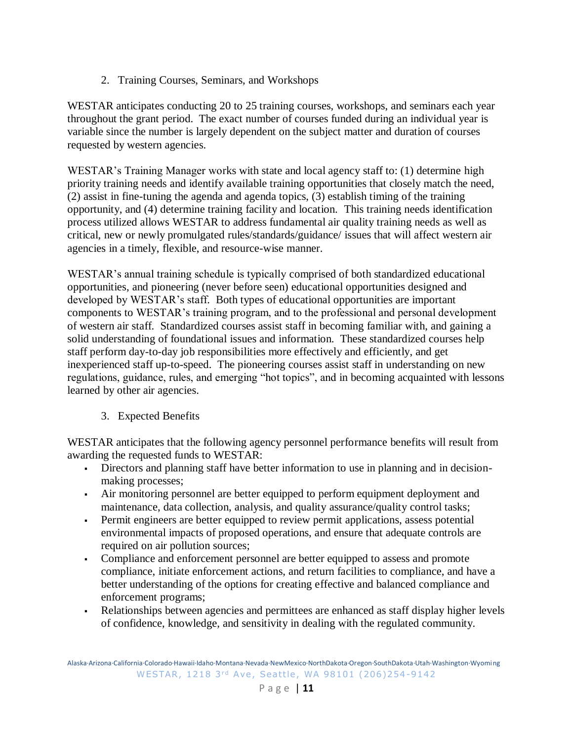2. Training Courses, Seminars, and Workshops

WESTAR anticipates conducting 20 to 25 training courses, workshops, and seminars each year throughout the grant period. The exact number of courses funded during an individual year is variable since the number is largely dependent on the subject matter and duration of courses requested by western agencies.

WESTAR's Training Manager works with state and local agency staff to: (1) determine high priority training needs and identify available training opportunities that closely match the need, (2) assist in fine-tuning the agenda and agenda topics, (3) establish timing of the training opportunity, and (4) determine training facility and location. This training needs identification process utilized allows WESTAR to address fundamental air quality training needs as well as critical, new or newly promulgated rules/standards/guidance/ issues that will affect western air agencies in a timely, flexible, and resource-wise manner.

WESTAR's annual training schedule is typically comprised of both standardized educational opportunities, and pioneering (never before seen) educational opportunities designed and developed by WESTAR's staff. Both types of educational opportunities are important components to WESTAR's training program, and to the professional and personal development of western air staff. Standardized courses assist staff in becoming familiar with, and gaining a solid understanding of foundational issues and information. These standardized courses help staff perform day-to-day job responsibilities more effectively and efficiently, and get inexperienced staff up-to-speed. The pioneering courses assist staff in understanding on new regulations, guidance, rules, and emerging "hot topics", and in becoming acquainted with lessons learned by other air agencies.

3. Expected Benefits

WESTAR anticipates that the following agency personnel performance benefits will result from awarding the requested funds to WESTAR:

- Directors and planning staff have better information to use in planning and in decisionmaking processes;
- Air monitoring personnel are better equipped to perform equipment deployment and maintenance, data collection, analysis, and quality assurance/quality control tasks;
- Permit engineers are better equipped to review permit applications, assess potential environmental impacts of proposed operations, and ensure that adequate controls are required on air pollution sources;
- Compliance and enforcement personnel are better equipped to assess and promote compliance, initiate enforcement actions, and return facilities to compliance, and have a better understanding of the options for creating effective and balanced compliance and enforcement programs;
- Relationships between agencies and permittees are enhanced as staff display higher levels of confidence, knowledge, and sensitivity in dealing with the regulated community.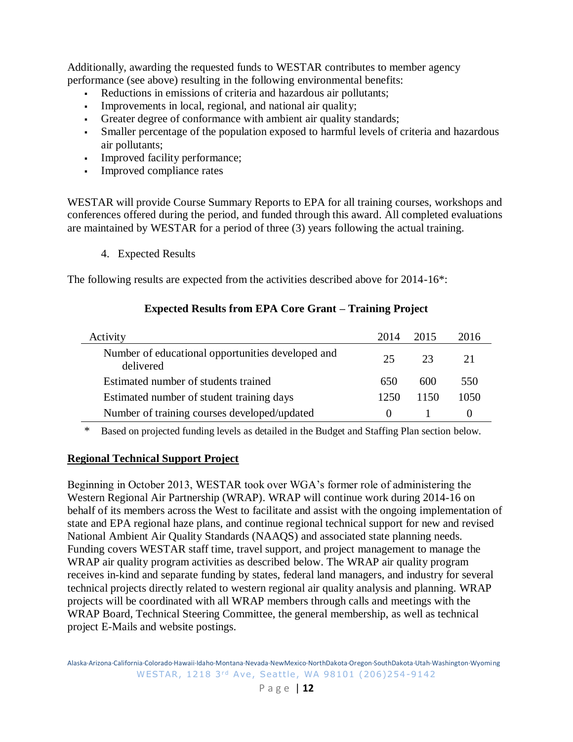Additionally, awarding the requested funds to WESTAR contributes to member agency performance (see above) resulting in the following environmental benefits:

- Reductions in emissions of criteria and hazardous air pollutants;
- Improvements in local, regional, and national air quality;
- Greater degree of conformance with ambient air quality standards;
- Smaller percentage of the population exposed to harmful levels of criteria and hazardous air pollutants;
- Improved facility performance;
- Improved compliance rates

WESTAR will provide Course Summary Reports to EPA for all training courses, workshops and conferences offered during the period, and funded through this award. All completed evaluations are maintained by WESTAR for a period of three (3) years following the actual training.

4. Expected Results

The following results are expected from the activities described above for 2014-16\*:

# **Expected Results from EPA Core Grant – Training Project**

| Activity                                                       | 2014     | 2015 | 2016 |
|----------------------------------------------------------------|----------|------|------|
| Number of educational opportunities developed and<br>delivered | 25       | 23   | 21   |
| Estimated number of students trained                           | 650      | 600  | 550  |
| Estimated number of student training days                      | 1250     | 1150 | 1050 |
| Number of training courses developed/updated                   | $\theta$ |      |      |

\* Based on projected funding levels as detailed in the Budget and Staffing Plan section below.

# <span id="page-11-0"></span>**Regional Technical Support Project**

Beginning in October 2013, WESTAR took over WGA's former role of administering the Western Regional Air Partnership (WRAP). WRAP will continue work during 2014-16 on behalf of its members across the West to facilitate and assist with the ongoing implementation of state and EPA regional haze plans, and continue regional technical support for new and revised National Ambient Air Quality Standards (NAAQS) and associated state planning needs. Funding covers WESTAR staff time, travel support, and project management to manage the WRAP air quality program activities as described below. The WRAP air quality program receives in-kind and separate funding by states, federal land managers, and industry for several technical projects directly related to western regional air quality analysis and planning. WRAP projects will be coordinated with all WRAP members through calls and meetings with the WRAP Board, Technical Steering Committee, the general membership, as well as technical project E-Mails and website postings.

Alaska·Arizona·California·Colorado·Hawaii·Idaho·Montana·Nevada·NewMexico·NorthDakota·Oregon·SouthDakota·Utah·Washington·Wyoming WESTAR, 1218 3rd Ave, Seattle, WA 98101 (206)254-9142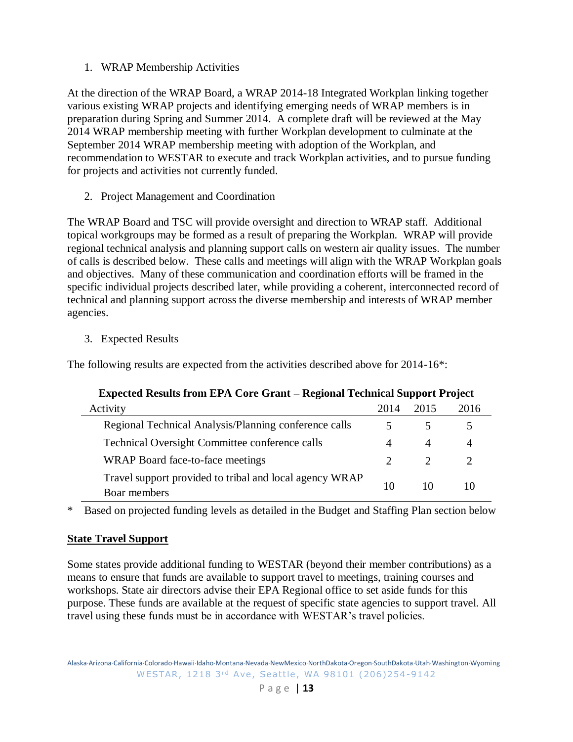1. WRAP Membership Activities

At the direction of the WRAP Board, a WRAP 2014-18 Integrated Workplan linking together various existing WRAP projects and identifying emerging needs of WRAP members is in preparation during Spring and Summer 2014. A complete draft will be reviewed at the May 2014 WRAP membership meeting with further Workplan development to culminate at the September 2014 WRAP membership meeting with adoption of the Workplan, and recommendation to WESTAR to execute and track Workplan activities, and to pursue funding for projects and activities not currently funded.

2. Project Management and Coordination

The WRAP Board and TSC will provide oversight and direction to WRAP staff. Additional topical workgroups may be formed as a result of preparing the Workplan. WRAP will provide regional technical analysis and planning support calls on western air quality issues. The number of calls is described below. These calls and meetings will align with the WRAP Workplan goals and objectives. Many of these communication and coordination efforts will be framed in the specific individual projects described later, while providing a coherent, interconnected record of technical and planning support across the diverse membership and interests of WRAP member agencies.

3. Expected Results

The following results are expected from the activities described above for 2014-16\*:

| Expected Results from EPA Core Grant – Regional Technical Support Project |      |      |      |  |
|---------------------------------------------------------------------------|------|------|------|--|
| Activity                                                                  | 2014 | 2015 | 2016 |  |
| Regional Technical Analysis/Planning conference calls                     |      |      |      |  |
| <b>Technical Oversight Committee conference calls</b>                     | 4    | 4    | 4    |  |
| WRAP Board face-to-face meetings                                          |      |      |      |  |
| Travel support provided to tribal and local agency WRAP<br>Boar members   | 10   | 10   | 10   |  |

# **Expected Results from EPA Core Grant – Regional Technical Support Project**

\* Based on projected funding levels as detailed in the Budget and Staffing Plan section below

#### <span id="page-12-0"></span>**State Travel Support**

Some states provide additional funding to WESTAR (beyond their member contributions) as a means to ensure that funds are available to support travel to meetings, training courses and workshops. State air directors advise their EPA Regional office to set aside funds for this purpose. These funds are available at the request of specific state agencies to support travel. All travel using these funds must be in accordance with WESTAR's travel policies.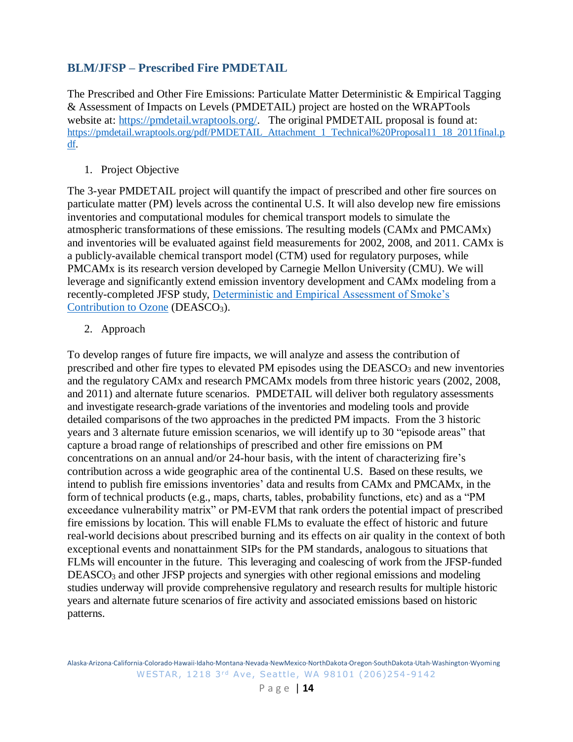# <span id="page-13-0"></span>**BLM/JFSP – Prescribed Fire PMDETAIL**

The Prescribed and Other Fire Emissions: Particulate Matter Deterministic & Empirical Tagging & Assessment of Impacts on Levels (PMDETAIL) project are hosted on the WRAPTools website at: [https://pmdetail.wraptools.org/.](https://pmdetail.wraptools.org/) The original PMDETAIL proposal is found at: [https://pmdetail.wraptools.org/pdf/PMDETAIL\\_Attachment\\_1\\_Technical%20Proposal11\\_18\\_2011final.p](https://pmdetail.wraptools.org/pdf/PMDETAIL_Attachment_1_Technical%20Proposal11_18_2011final.pdf) [df.](https://pmdetail.wraptools.org/pdf/PMDETAIL_Attachment_1_Technical%20Proposal11_18_2011final.pdf)

# 1. Project Objective

The 3-year PMDETAIL project will quantify the impact of prescribed and other fire sources on particulate matter (PM) levels across the continental U.S. It will also develop new fire emissions inventories and computational modules for chemical transport models to simulate the atmospheric transformations of these emissions. The resulting models (CAMx and PMCAMx) and inventories will be evaluated against field measurements for 2002, 2008, and 2011. CAMx is a publicly-available chemical transport model (CTM) used for regulatory purposes, while PMCAMx is its research version developed by Carnegie Mellon University (CMU). We will leverage and significantly extend emission inventory development and CAMx modeling from a recently-completed JFSP study, [Deterministic and Empirical Assessment of Smoke's](https://deasco3.wraptools.org/)  [Contribution to Ozone](https://deasco3.wraptools.org/) (DEASCO<sub>3</sub>).

2. Approach

To develop ranges of future fire impacts, we will analyze and assess the contribution of prescribed and other fire types to elevated PM episodes using the DEASCO<sub>3</sub> and new inventories and the regulatory CAMx and research PMCAMx models from three historic years (2002, 2008, and 2011) and alternate future scenarios. PMDETAIL will deliver both regulatory assessments and investigate research-grade variations of the inventories and modeling tools and provide detailed comparisons of the two approaches in the predicted PM impacts. From the 3 historic years and 3 alternate future emission scenarios, we will identify up to 30 "episode areas" that capture a broad range of relationships of prescribed and other fire emissions on PM concentrations on an annual and/or 24-hour basis, with the intent of characterizing fire's contribution across a wide geographic area of the continental U.S. Based on these results, we intend to publish fire emissions inventories' data and results from CAMx and PMCAMx, in the form of technical products (e.g., maps, charts, tables, probability functions, etc) and as a "PM exceedance vulnerability matrix" or PM-EVM that rank orders the potential impact of prescribed fire emissions by location. This will enable FLMs to evaluate the effect of historic and future real-world decisions about prescribed burning and its effects on air quality in the context of both exceptional events and nonattainment SIPs for the PM standards, analogous to situations that FLMs will encounter in the future. This leveraging and coalescing of work from the JFSP-funded DEASCO<sub>3</sub> and other JFSP projects and synergies with other regional emissions and modeling studies underway will provide comprehensive regulatory and research results for multiple historic years and alternate future scenarios of fire activity and associated emissions based on historic patterns.

Alaska·Arizona·California·Colorado·Hawaii·Idaho·Montana·Nevada·NewMexico·NorthDakota·Oregon·SouthDakota·Utah·Washington·Wyoming WESTAR, 1218 3rd Ave, Seattle, WA 98101 (206)254-9142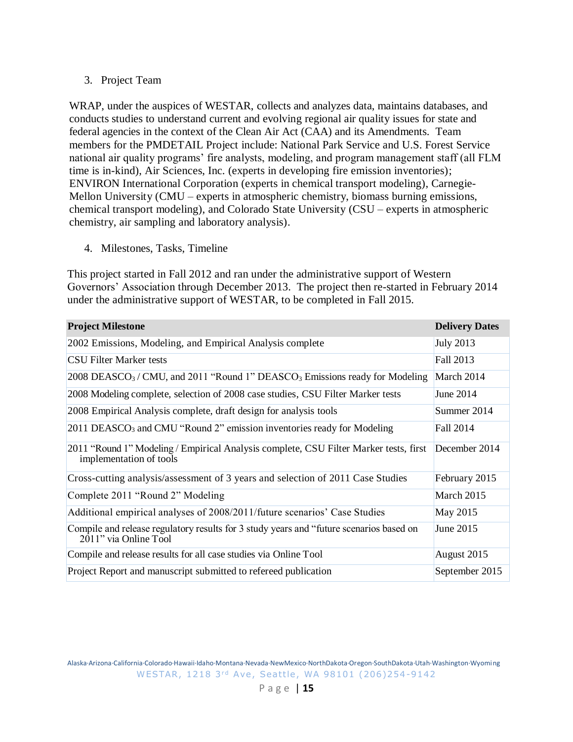## 3. Project Team

WRAP, under the auspices of WESTAR, collects and analyzes data, maintains databases, and conducts studies to understand current and evolving regional air quality issues for state and federal agencies in the context of the Clean Air Act (CAA) and its Amendments. Team members for the PMDETAIL Project include: National Park Service and U.S. Forest Service national air quality programs' fire analysts, modeling, and program management staff (all FLM time is in-kind), Air Sciences, Inc. (experts in developing fire emission inventories); ENVIRON International Corporation (experts in chemical transport modeling), Carnegie-Mellon University (CMU – experts in atmospheric chemistry, biomass burning emissions, chemical transport modeling), and Colorado State University (CSU – experts in atmospheric chemistry, air sampling and laboratory analysis).

4. Milestones, Tasks, Timeline

This project started in Fall 2012 and ran under the administrative support of Western Governors' Association through December 2013. The project then re-started in February 2014 under the administrative support of WESTAR, to be completed in Fall 2015.

| <b>Project Milestone</b>                                                                                            | <b>Delivery Dates</b> |
|---------------------------------------------------------------------------------------------------------------------|-----------------------|
| 2002 Emissions, Modeling, and Empirical Analysis complete                                                           | <b>July 2013</b>      |
| <b>CSU Filter Marker tests</b>                                                                                      | Fall 2013             |
| 2008 DEASCO <sub>3</sub> /CMU, and 2011 "Round 1" DEASCO <sub>3</sub> Emissions ready for Modeling                  | March 2014            |
| 2008 Modeling complete, selection of 2008 case studies, CSU Filter Marker tests                                     | June 2014             |
| 2008 Empirical Analysis complete, draft design for analysis tools                                                   | Summer 2014           |
| 2011 DEASCO <sub>3</sub> and CMU "Round 2" emission inventories ready for Modeling                                  | Fall 2014             |
| 2011 "Round 1" Modeling / Empirical Analysis complete, CSU Filter Marker tests, first<br>implementation of tools    | December 2014         |
| Cross-cutting analysis/assessment of 3 years and selection of 2011 Case Studies                                     | February 2015         |
| Complete 2011 "Round 2" Modeling                                                                                    | March 2015            |
| Additional empirical analyses of 2008/2011/future scenarios' Case Studies                                           | May 2015              |
| Compile and release regulatory results for 3 study years and "future scenarios based on<br>$2011$ " via Online Tool | June 2015             |
| Compile and release results for all case studies via Online Tool                                                    | August 2015           |
| Project Report and manuscript submitted to refereed publication                                                     | September 2015        |

Alaska·Arizona·California·Colorado·Hawaii·Idaho·Montana·Nevada·NewMexico·NorthDakota·Oregon·SouthDakota·Utah·Washington·Wyoming WESTAR, 1218 3rd Ave, Seattle, WA 98101 (206)254-9142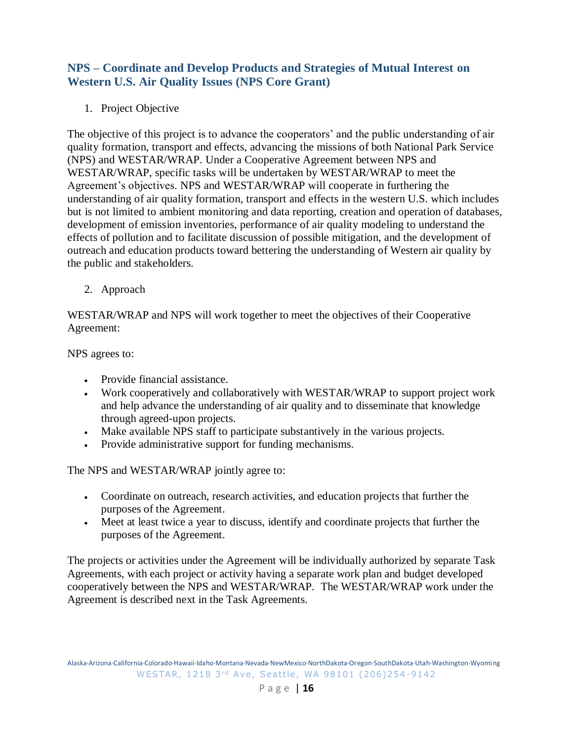# <span id="page-15-0"></span>**NPS – Coordinate and Develop Products and Strategies of Mutual Interest on Western U.S. Air Quality Issues (NPS Core Grant)**

1. Project Objective

The objective of this project is to advance the cooperators' and the public understanding of air quality formation, transport and effects, advancing the missions of both National Park Service (NPS) and WESTAR/WRAP. Under a Cooperative Agreement between NPS and WESTAR/WRAP, specific tasks will be undertaken by WESTAR/WRAP to meet the Agreement's objectives. NPS and WESTAR/WRAP will cooperate in furthering the understanding of air quality formation, transport and effects in the western U.S. which includes but is not limited to ambient monitoring and data reporting, creation and operation of databases, development of emission inventories, performance of air quality modeling to understand the effects of pollution and to facilitate discussion of possible mitigation, and the development of outreach and education products toward bettering the understanding of Western air quality by the public and stakeholders.

2. Approach

WESTAR/WRAP and NPS will work together to meet the objectives of their Cooperative Agreement:

NPS agrees to:

- Provide financial assistance.
- Work cooperatively and collaboratively with WESTAR/WRAP to support project work and help advance the understanding of air quality and to disseminate that knowledge through agreed-upon projects.
- Make available NPS staff to participate substantively in the various projects.
- Provide administrative support for funding mechanisms.

The NPS and WESTAR/WRAP jointly agree to:

- Coordinate on outreach, research activities, and education projects that further the purposes of the Agreement.
- Meet at least twice a year to discuss, identify and coordinate projects that further the purposes of the Agreement.

The projects or activities under the Agreement will be individually authorized by separate Task Agreements, with each project or activity having a separate work plan and budget developed cooperatively between the NPS and WESTAR/WRAP. The WESTAR/WRAP work under the Agreement is described next in the Task Agreements.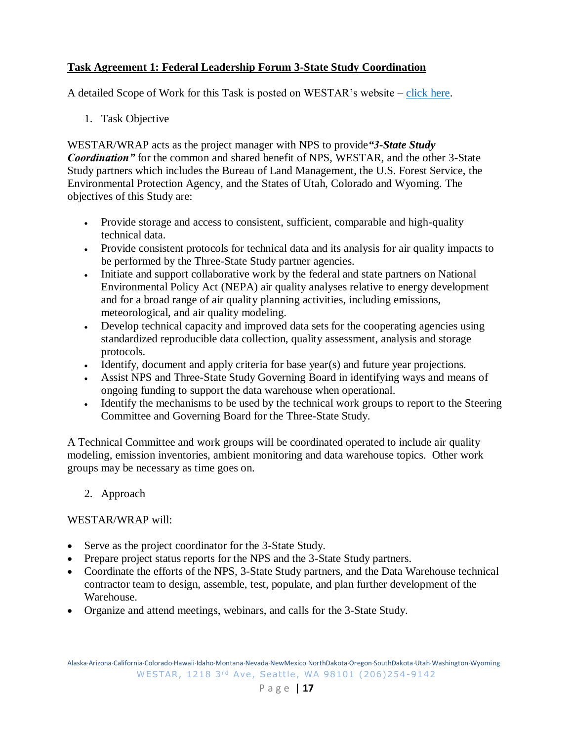# <span id="page-16-0"></span>**Task Agreement 1: Federal Leadership Forum 3-State Study Coordination**

A detailed Scope of Work for this Task is posted on WESTAR's website – [click here.](http://www.westar.org/Docs/Agreements/NPS-WESTAR%20CoopAgree_for_FLF3-StateProject%20v3.pdf)

1. Task Objective

WESTAR/WRAP acts as the project manager with NPS to provide*"3-State Study Coordination"* for the common and shared benefit of NPS, WESTAR, and the other 3-State Study partners which includes the Bureau of Land Management, the U.S. Forest Service, the Environmental Protection Agency, and the States of Utah, Colorado and Wyoming. The objectives of this Study are:

- Provide storage and access to consistent, sufficient, comparable and high-quality technical data.
- Provide consistent protocols for technical data and its analysis for air quality impacts to be performed by the Three-State Study partner agencies.
- Initiate and support collaborative work by the federal and state partners on National Environmental Policy Act (NEPA) air quality analyses relative to energy development and for a broad range of air quality planning activities, including emissions, meteorological, and air quality modeling.
- Develop technical capacity and improved data sets for the cooperating agencies using standardized reproducible data collection, quality assessment, analysis and storage protocols.
- Identify, document and apply criteria for base year(s) and future year projections.
- Assist NPS and Three-State Study Governing Board in identifying ways and means of ongoing funding to support the data warehouse when operational.
- Identify the mechanisms to be used by the technical work groups to report to the Steering Committee and Governing Board for the Three-State Study.

A Technical Committee and work groups will be coordinated operated to include air quality modeling, emission inventories, ambient monitoring and data warehouse topics. Other work groups may be necessary as time goes on.

2. Approach

#### WESTAR/WRAP will:

- Serve as the project coordinator for the 3-State Study.
- Prepare project status reports for the NPS and the 3-State Study partners.
- Coordinate the efforts of the NPS, 3-State Study partners, and the Data Warehouse technical contractor team to design, assemble, test, populate, and plan further development of the Warehouse.
- Organize and attend meetings, webinars, and calls for the 3-State Study.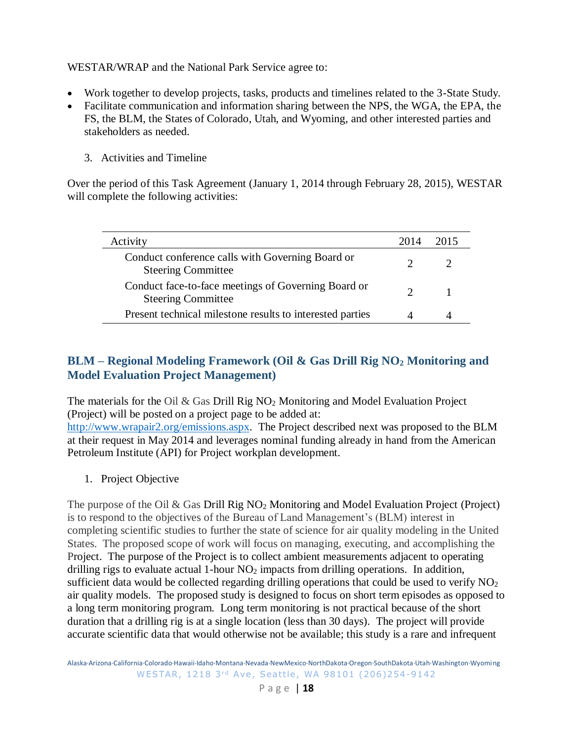# WESTAR/WRAP and the National Park Service agree to:

- Work together to develop projects, tasks, products and timelines related to the 3-State Study.
- Facilitate communication and information sharing between the NPS, the WGA, the EPA, the FS, the BLM, the States of Colorado, Utah, and Wyoming, and other interested parties and stakeholders as needed.
	- 3. Activities and Timeline

Over the period of this Task Agreement (January 1, 2014 through February 28, 2015), WESTAR will complete the following activities:

| Activity                                                                         | 2014 | 2015 |
|----------------------------------------------------------------------------------|------|------|
| Conduct conference calls with Governing Board or<br><b>Steering Committee</b>    |      |      |
| Conduct face-to-face meetings of Governing Board or<br><b>Steering Committee</b> |      |      |
| Present technical milestone results to interested parties                        |      |      |

# <span id="page-17-0"></span>**BLM – Regional Modeling Framework (Oil & Gas Drill Rig NO<sup>2</sup> Monitoring and Model Evaluation Project Management)**

The materials for the Oil  $\&$  Gas Drill Rig NO<sub>2</sub> Monitoring and Model Evaluation Project (Project) will be posted on a project page to be added at:

[http://www.wrapair2.org/emissions.aspx.](http://www.wrapair2.org/emissions.aspx) The Project described next was proposed to the BLM at their request in May 2014 and leverages nominal funding already in hand from the American Petroleum Institute (API) for Project workplan development.

1. Project Objective

The purpose of the Oil & Gas Drill Rig NO<sub>2</sub> Monitoring and Model Evaluation Project (Project) is to respond to the objectives of the Bureau of Land Management's (BLM) interest in completing scientific studies to further the state of science for air quality modeling in the United States. The proposed scope of work will focus on managing, executing, and accomplishing the Project. The purpose of the Project is to collect ambient measurements adjacent to operating drilling rigs to evaluate actual 1-hour  $NO<sub>2</sub>$  impacts from drilling operations. In addition, sufficient data would be collected regarding drilling operations that could be used to verify NO<sub>2</sub> air quality models. The proposed study is designed to focus on short term episodes as opposed to a long term monitoring program. Long term monitoring is not practical because of the short duration that a drilling rig is at a single location (less than 30 days). The project will provide accurate scientific data that would otherwise not be available; this study is a rare and infrequent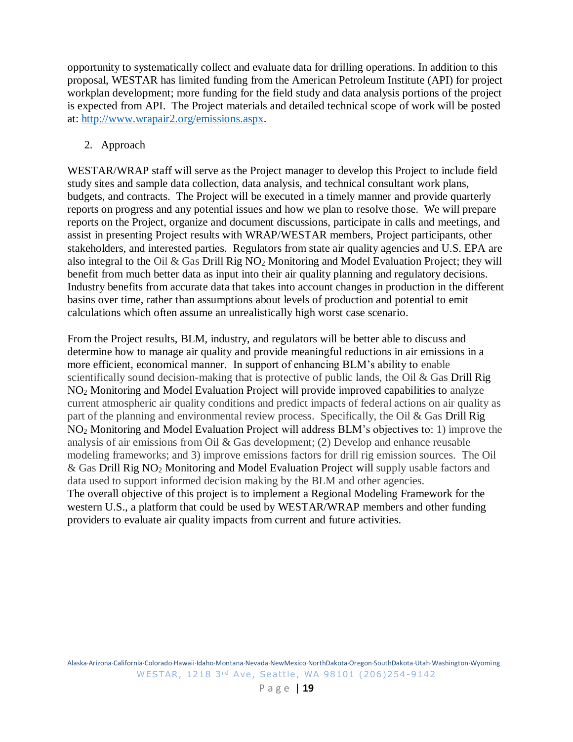opportunity to systematically collect and evaluate data for drilling operations. In addition to this proposal, WESTAR has limited funding from the American Petroleum Institute (API) for project workplan development; more funding for the field study and data analysis portions of the project is expected from API. The Project materials and detailed technical scope of work will be posted at: [http://www.wrapair2.org/emissions.aspx.](http://www.wrapair2.org/emissions.aspx)

# 2. Approach

WESTAR/WRAP staff will serve as the Project manager to develop this Project to include field study sites and sample data collection, data analysis, and technical consultant work plans, budgets, and contracts. The Project will be executed in a timely manner and provide quarterly reports on progress and any potential issues and how we plan to resolve those. We will prepare reports on the Project, organize and document discussions, participate in calls and meetings, and assist in presenting Project results with WRAP/WESTAR members, Project participants, other stakeholders, and interested parties. Regulators from state air quality agencies and U.S. EPA are also integral to the Oil & Gas Drill Rig NO<sup>2</sup> Monitoring and Model Evaluation Project; they will benefit from much better data as input into their air quality planning and regulatory decisions. Industry benefits from accurate data that takes into account changes in production in the different basins over time, rather than assumptions about levels of production and potential to emit calculations which often assume an unrealistically high worst case scenario.

From the Project results, BLM, industry, and regulators will be better able to discuss and determine how to manage air quality and provide meaningful reductions in air emissions in a more efficient, economical manner. In support of enhancing BLM's ability to enable scientifically sound decision-making that is protective of public lands, the Oil & Gas Drill Rig NO<sup>2</sup> Monitoring and Model Evaluation Project will provide improved capabilities to analyze current atmospheric air quality conditions and predict impacts of federal actions on air quality as part of the planning and environmental review process. Specifically, the Oil & Gas Drill Rig NO<sup>2</sup> Monitoring and Model Evaluation Project will address BLM's objectives to: 1) improve the analysis of air emissions from Oil & Gas development; (2) Develop and enhance reusable modeling frameworks; and 3) improve emissions factors for drill rig emission sources. The Oil & Gas Drill Rig NO<sup>2</sup> Monitoring and Model Evaluation Project will supply usable factors and data used to support informed decision making by the BLM and other agencies. The overall objective of this project is to implement a Regional Modeling Framework for the western U.S., a platform that could be used by WESTAR/WRAP members and other funding providers to evaluate air quality impacts from current and future activities.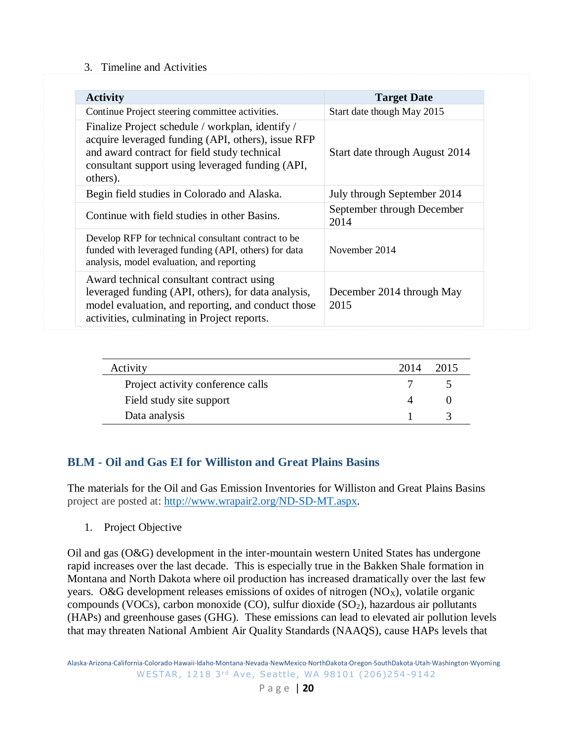#### 3. Timeline and Activities

| <b>Activity</b>                                                                                                                                                                                                        | <b>Target Date</b>                 |
|------------------------------------------------------------------------------------------------------------------------------------------------------------------------------------------------------------------------|------------------------------------|
| Continue Project steering committee activities.                                                                                                                                                                        | Start date though May 2015         |
| Finalize Project schedule / workplan, identify /<br>acquire leveraged funding (API, others), issue RFP<br>and award contract for field study technical<br>consultant support using leveraged funding (API,<br>others). | Start date through August 2014     |
| Begin field studies in Colorado and Alaska.                                                                                                                                                                            | July through September 2014        |
| Continue with field studies in other Basins.                                                                                                                                                                           | September through December<br>2014 |
| Develop RFP for technical consultant contract to be<br>funded with leveraged funding (API, others) for data<br>analysis, model evaluation, and reporting                                                               | November 2014                      |
| Award technical consultant contract using<br>leveraged funding (API, others), for data analysis,<br>model evaluation, and reporting, and conduct those<br>activities, culminating in Project reports.                  | December 2014 through May<br>2015  |

| Activity                          | 2014 | 2015 |
|-----------------------------------|------|------|
| Project activity conference calls |      |      |
| Field study site support          |      |      |
| Data analysis                     |      |      |

# <span id="page-19-0"></span>**BLM - Oil and Gas EI for Williston and Great Plains Basins**

The materials for the Oil and Gas Emission Inventories for Williston and Great Plains Basins project are posted at: [http://www.wrapair2.org/ND-SD-MT.aspx.](http://www.wrapair2.org/ND-SD-MT.aspx)

1. Project Objective

Oil and gas (O&G) development in the inter-mountain western United States has undergone rapid increases over the last decade. This is especially true in the Bakken Shale formation in Montana and North Dakota where oil production has increased dramatically over the last few years. O&G development releases emissions of oxides of nitrogen  $(NO<sub>X</sub>)$ , volatile organic compounds (VOCs), carbon monoxide (CO), sulfur dioxide (SO2), hazardous air pollutants (HAPs) and greenhouse gases (GHG). These emissions can lead to elevated air pollution levels that may threaten National Ambient Air Quality Standards (NAAQS), cause HAPs levels that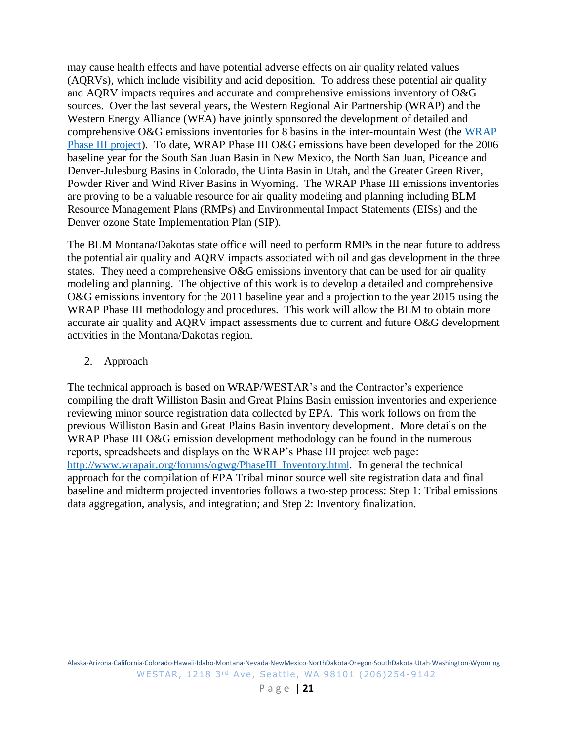may cause health effects and have potential adverse effects on air quality related values (AQRVs), which include visibility and acid deposition. To address these potential air quality and AQRV impacts requires and accurate and comprehensive emissions inventory of O&G sources. Over the last several years, the Western Regional Air Partnership (WRAP) and the Western Energy Alliance (WEA) have jointly sponsored the development of detailed and comprehensive O&G emissions inventories for 8 basins in the inter-mountain West (the [WRAP](http://www.wrapair2.org/PhaseIII.aspx)  [Phase III project\)](http://www.wrapair2.org/PhaseIII.aspx). To date, WRAP Phase III O&G emissions have been developed for the 2006 baseline year for the South San Juan Basin in New Mexico, the North San Juan, Piceance and Denver-Julesburg Basins in Colorado, the Uinta Basin in Utah, and the Greater Green River, Powder River and Wind River Basins in Wyoming. The WRAP Phase III emissions inventories are proving to be a valuable resource for air quality modeling and planning including BLM Resource Management Plans (RMPs) and Environmental Impact Statements (EISs) and the Denver ozone State Implementation Plan (SIP).

The BLM Montana/Dakotas state office will need to perform RMPs in the near future to address the potential air quality and AQRV impacts associated with oil and gas development in the three states. They need a comprehensive O&G emissions inventory that can be used for air quality modeling and planning. The objective of this work is to develop a detailed and comprehensive O&G emissions inventory for the 2011 baseline year and a projection to the year 2015 using the WRAP Phase III methodology and procedures. This work will allow the BLM to obtain more accurate air quality and AQRV impact assessments due to current and future O&G development activities in the Montana/Dakotas region.

### 2. Approach

The technical approach is based on WRAP/WESTAR's and the Contractor's experience compiling the draft Williston Basin and Great Plains Basin emission inventories and experience reviewing minor source registration data collected by EPA. This work follows on from the previous Williston Basin and Great Plains Basin inventory development. More details on the WRAP Phase III O&G emission development methodology can be found in the numerous reports, spreadsheets and displays on the WRAP's Phase III project web page: [http://www.wrapair.org/forums/ogwg/PhaseIII\\_Inventory.html.](http://www.wrapair.org/forums/ogwg/PhaseIII_Inventory.html) In general the technical approach for the compilation of EPA Tribal minor source well site registration data and final baseline and midterm projected inventories follows a two-step process: Step 1: Tribal emissions data aggregation, analysis, and integration; and Step 2: Inventory finalization.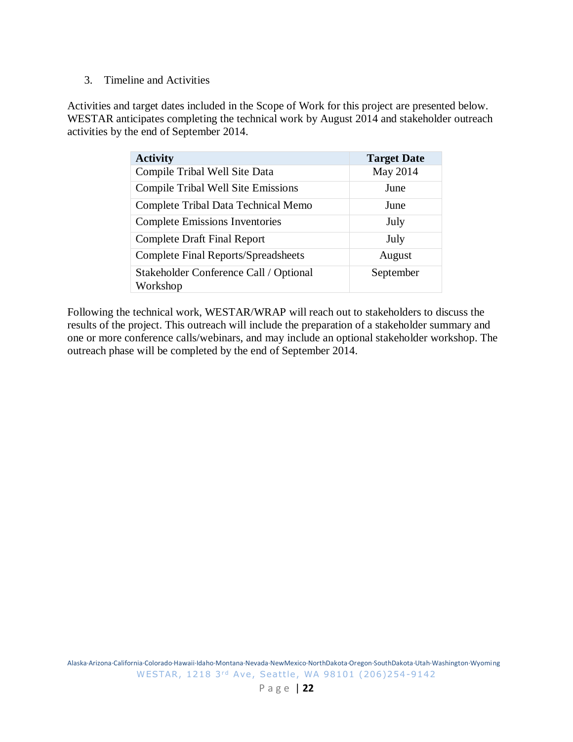## 3. Timeline and Activities

Activities and target dates included in the Scope of Work for this project are presented below. WESTAR anticipates completing the technical work by August 2014 and stakeholder outreach activities by the end of September 2014.

| <b>Activity</b>                                    | <b>Target Date</b> |
|----------------------------------------------------|--------------------|
| Compile Tribal Well Site Data                      | May 2014           |
| <b>Compile Tribal Well Site Emissions</b>          | June               |
| Complete Tribal Data Technical Memo                | June               |
| <b>Complete Emissions Inventories</b>              | July               |
| <b>Complete Draft Final Report</b>                 | July               |
| <b>Complete Final Reports/Spreadsheets</b>         | August             |
| Stakeholder Conference Call / Optional<br>Workshop | September          |

Following the technical work, WESTAR/WRAP will reach out to stakeholders to discuss the results of the project. This outreach will include the preparation of a stakeholder summary and one or more conference calls/webinars, and may include an optional stakeholder workshop. The outreach phase will be completed by the end of September 2014.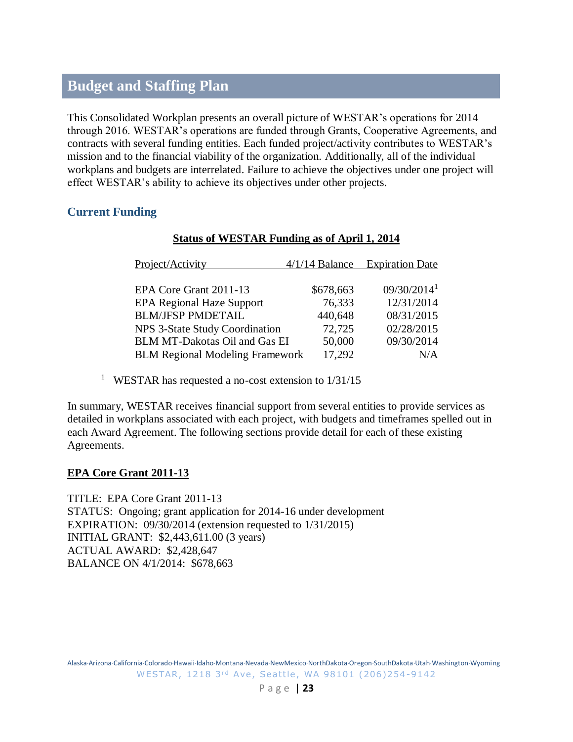# <span id="page-22-0"></span>**Budget and Staffing Plan**

This Consolidated Workplan presents an overall picture of WESTAR's operations for 2014 through 2016. WESTAR's operations are funded through Grants, Cooperative Agreements, and contracts with several funding entities. Each funded project/activity contributes to WESTAR's mission and to the financial viability of the organization. Additionally, all of the individual workplans and budgets are interrelated. Failure to achieve the objectives under one project will effect WESTAR's ability to achieve its objectives under other projects.

# <span id="page-22-1"></span>**Current Funding**

# **Status of WESTAR Funding as of April 1, 2014**

<sup>1</sup> WESTAR has requested a no-cost extension to 1/31/15

In summary, WESTAR receives financial support from several entities to provide services as detailed in workplans associated with each project, with budgets and timeframes spelled out in each Award Agreement. The following sections provide detail for each of these existing Agreements.

# <span id="page-22-2"></span>**EPA Core Grant 2011-13**

TITLE: EPA Core Grant 2011-13 STATUS: Ongoing; grant application for 2014-16 under development EXPIRATION: 09/30/2014 (extension requested to 1/31/2015) INITIAL GRANT: \$2,443,611.00 (3 years) ACTUAL AWARD: \$2,428,647 BALANCE ON 4/1/2014: \$678,663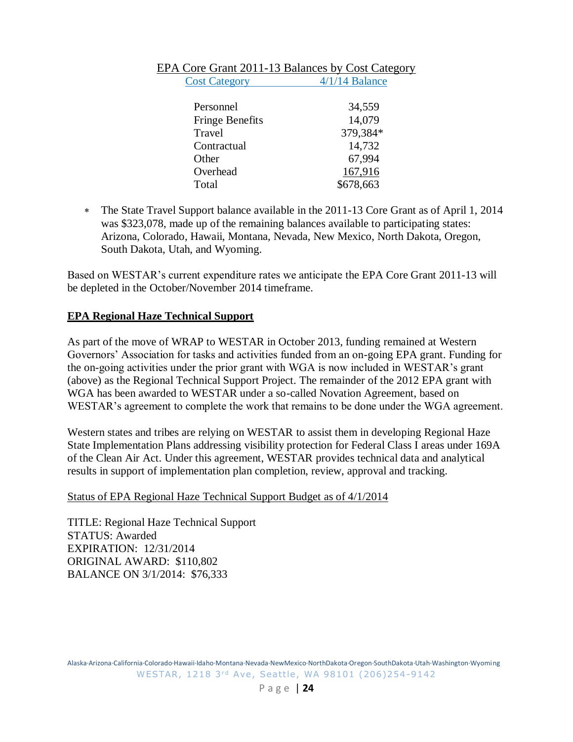| Personnel              | 34,559    |
|------------------------|-----------|
| <b>Fringe Benefits</b> | 14,079    |
| Travel                 | 379,384*  |
| Contractual            | 14,732    |
| Other                  | 67,994    |
| Overhead               | 167,916   |
| Total                  | \$678,663 |

#### EPA Core Grant 2011-13 Balances by Cost Category Cost Category 4/1/14 Balance

 The State Travel Support balance available in the 2011-13 Core Grant as of April 1, 2014 was \$323,078, made up of the remaining balances available to participating states: Arizona, Colorado, Hawaii, Montana, Nevada, New Mexico, North Dakota, Oregon, South Dakota, Utah, and Wyoming.

Based on WESTAR's current expenditure rates we anticipate the EPA Core Grant 2011-13 will be depleted in the October/November 2014 timeframe.

### <span id="page-23-0"></span>**EPA Regional Haze Technical Support**

As part of the move of WRAP to WESTAR in October 2013, funding remained at Western Governors' Association for tasks and activities funded from an on-going EPA grant. Funding for the on-going activities under the prior grant with WGA is now included in WESTAR's grant (above) as the Regional Technical Support Project. The remainder of the 2012 EPA grant with WGA has been awarded to WESTAR under a so-called Novation Agreement, based on WESTAR's agreement to complete the work that remains to be done under the WGA agreement.

Western states and tribes are relying on WESTAR to assist them in developing Regional Haze State Implementation Plans addressing visibility protection for Federal Class I areas under 169A of the Clean Air Act. Under this agreement, WESTAR provides technical data and analytical results in support of implementation plan completion, review, approval and tracking.

#### Status of EPA Regional Haze Technical Support Budget as of 4/1/2014

TITLE: Regional Haze Technical Support STATUS: Awarded EXPIRATION: 12/31/2014 ORIGINAL AWARD: \$110,802 BALANCE ON 3/1/2014: \$76,333

Alaska·Arizona·California·Colorado·Hawaii·Idaho·Montana·Nevada·NewMexico·NorthDakota·Oregon·SouthDakota·Utah·Washington·Wyoming WESTAR, 1218 3rd Ave, Seattle, WA 98101 (206)254-9142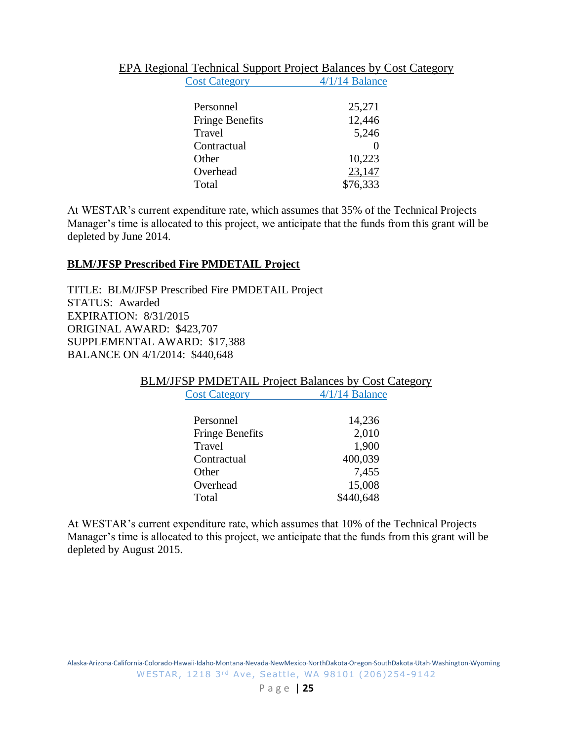|                      | <b>EPA Regional Technical Support Project Balances by Cost Category</b> |
|----------------------|-------------------------------------------------------------------------|
| <b>Cost Category</b> | $4/1/14$ Balance                                                        |

| Personnel              | 25,271   |
|------------------------|----------|
| <b>Fringe Benefits</b> | 12,446   |
| Travel                 | 5,246    |
| Contractual            |          |
| Other                  | 10,223   |
| Overhead               | 23,147   |
| Total                  | \$76,333 |

At WESTAR's current expenditure rate, which assumes that 35% of the Technical Projects Manager's time is allocated to this project, we anticipate that the funds from this grant will be depleted by June 2014.

#### <span id="page-24-0"></span>**BLM/JFSP Prescribed Fire PMDETAIL Project**

TITLE: BLM/JFSP Prescribed Fire PMDETAIL Project STATUS: Awarded EXPIRATION: 8/31/2015 ORIGINAL AWARD: \$423,707 SUPPLEMENTAL AWARD: \$17,388 BALANCE ON 4/1/2014: \$440,648

BLM/JFSP PMDETAIL Project Balances by Cost Category

| <b>Cost Category</b>   | $4/1/14$ Balance |
|------------------------|------------------|
| Personnel              | 14,236           |
| <b>Fringe Benefits</b> | 2,010            |
| Travel                 | 1,900            |
| Contractual            | 400,039          |
| Other                  | 7,455            |
| Overhead               | 15,008           |
| Total                  | 40.648           |

At WESTAR's current expenditure rate, which assumes that 10% of the Technical Projects Manager's time is allocated to this project, we anticipate that the funds from this grant will be depleted by August 2015.

Alaska·Arizona·California·Colorado·Hawaii·Idaho·Montana·Nevada·NewMexico·NorthDakota·Oregon·SouthDakota·Utah·Washington·Wyoming WESTAR, 1218 3rd Ave, Seattle, WA 98101 (206)254-9142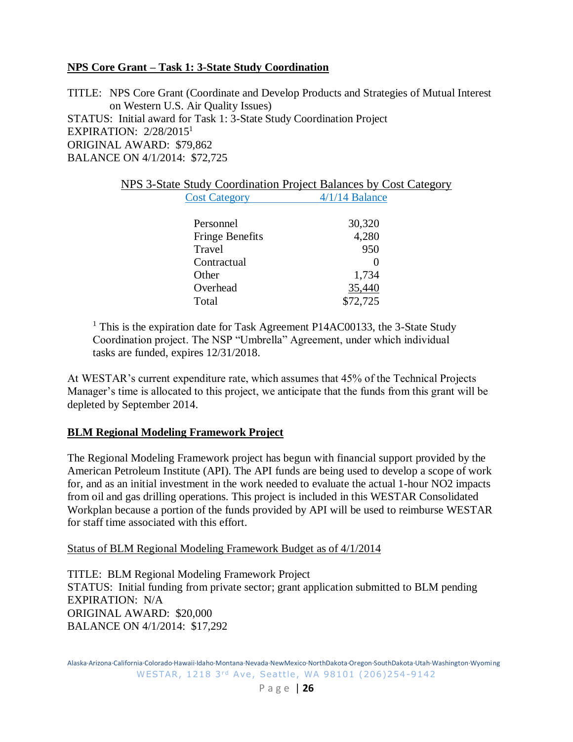# <span id="page-25-0"></span>**NPS Core Grant – Task 1: 3-State Study Coordination**

TITLE: NPS Core Grant (Coordinate and Develop Products and Strategies of Mutual Interest on Western U.S. Air Quality Issues) STATUS: Initial award for Task 1: 3-State Study Coordination Project EXPIRATION: 2/28/2015<sup>1</sup> ORIGINAL AWARD: \$79,862 BALANCE ON 4/1/2014: \$72,725

| NPS 3-State Study Coordination Project Balances by Cost Category |                      |                  |  |  |
|------------------------------------------------------------------|----------------------|------------------|--|--|
|                                                                  | <b>Cost Category</b> | $4/1/14$ Balance |  |  |

| Personnel              | 30,320   |
|------------------------|----------|
| <b>Fringe Benefits</b> | 4,280    |
| Travel                 | 950      |
| Contractual            |          |
| Other                  | 1,734    |
| Overhead               | 35,440   |
| Total                  | \$72,725 |

<sup>1</sup> This is the expiration date for Task Agreement P14AC00133, the 3-State Study Coordination project. The NSP "Umbrella" Agreement, under which individual tasks are funded, expires 12/31/2018.

At WESTAR's current expenditure rate, which assumes that 45% of the Technical Projects Manager's time is allocated to this project, we anticipate that the funds from this grant will be depleted by September 2014.

#### <span id="page-25-1"></span>**BLM Regional Modeling Framework Project**

The Regional Modeling Framework project has begun with financial support provided by the American Petroleum Institute (API). The API funds are being used to develop a scope of work for, and as an initial investment in the work needed to evaluate the actual 1-hour NO2 impacts from oil and gas drilling operations. This project is included in this WESTAR Consolidated Workplan because a portion of the funds provided by API will be used to reimburse WESTAR for staff time associated with this effort.

Status of BLM Regional Modeling Framework Budget as of 4/1/2014

TITLE: BLM Regional Modeling Framework Project STATUS: Initial funding from private sector; grant application submitted to BLM pending EXPIRATION: N/A ORIGINAL AWARD: \$20,000 BALANCE ON 4/1/2014: \$17,292

Alaska·Arizona·California·Colorado·Hawaii·Idaho·Montana·Nevada·NewMexico·NorthDakota·Oregon·SouthDakota·Utah·Washington·Wyoming WESTAR, 1218 3rd Ave, Seattle, WA 98101 (206)254-9142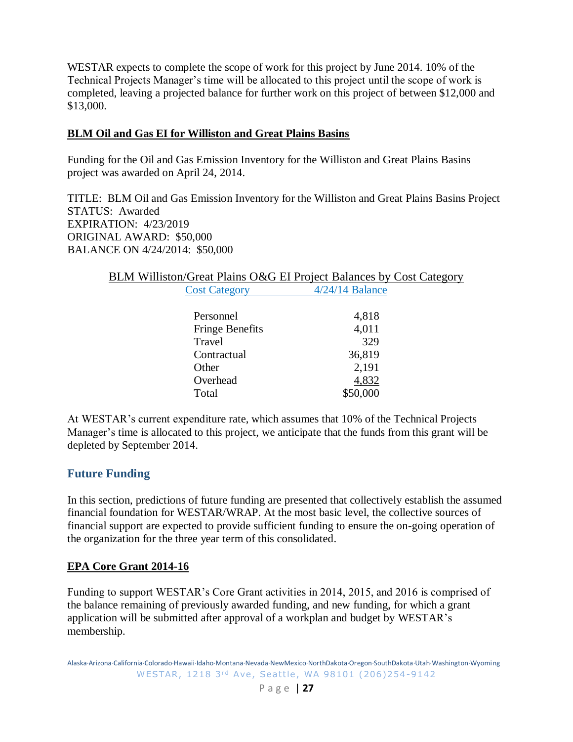WESTAR expects to complete the scope of work for this project by June 2014. 10% of the Technical Projects Manager's time will be allocated to this project until the scope of work is completed, leaving a projected balance for further work on this project of between \$12,000 and \$13,000.

# <span id="page-26-0"></span>**BLM Oil and Gas EI for Williston and Great Plains Basins**

Funding for the Oil and Gas Emission Inventory for the Williston and Great Plains Basins project was awarded on April 24, 2014.

TITLE: BLM Oil and Gas Emission Inventory for the Williston and Great Plains Basins Project STATUS: Awarded EXPIRATION: 4/23/2019 ORIGINAL AWARD: \$50,000 BALANCE ON 4/24/2014: \$50,000

# BLM Williston/Great Plains O&G EI Project Balances by Cost Category Cost Category 4/24/14 Balance

| Personnel              | 4,818    |
|------------------------|----------|
| <b>Fringe Benefits</b> | 4,011    |
| Travel                 | 329      |
| Contractual            | 36,819   |
| Other                  | 2,191    |
| Overhead               | 4,832    |
| Total                  | \$50,000 |
|                        |          |

At WESTAR's current expenditure rate, which assumes that 10% of the Technical Projects Manager's time is allocated to this project, we anticipate that the funds from this grant will be depleted by September 2014.

# <span id="page-26-1"></span>**Future Funding**

In this section, predictions of future funding are presented that collectively establish the assumed financial foundation for WESTAR/WRAP. At the most basic level, the collective sources of financial support are expected to provide sufficient funding to ensure the on-going operation of the organization for the three year term of this consolidated.

# <span id="page-26-2"></span>**EPA Core Grant 2014-16**

Funding to support WESTAR's Core Grant activities in 2014, 2015, and 2016 is comprised of the balance remaining of previously awarded funding, and new funding, for which a grant application will be submitted after approval of a workplan and budget by WESTAR's membership.

Alaska·Arizona·California·Colorado·Hawaii·Idaho·Montana·Nevada·NewMexico·NorthDakota·Oregon·SouthDakota·Utah·Washington·Wyoming WESTAR, 1218 3rd Ave, Seattle, WA 98101 (206)254-9142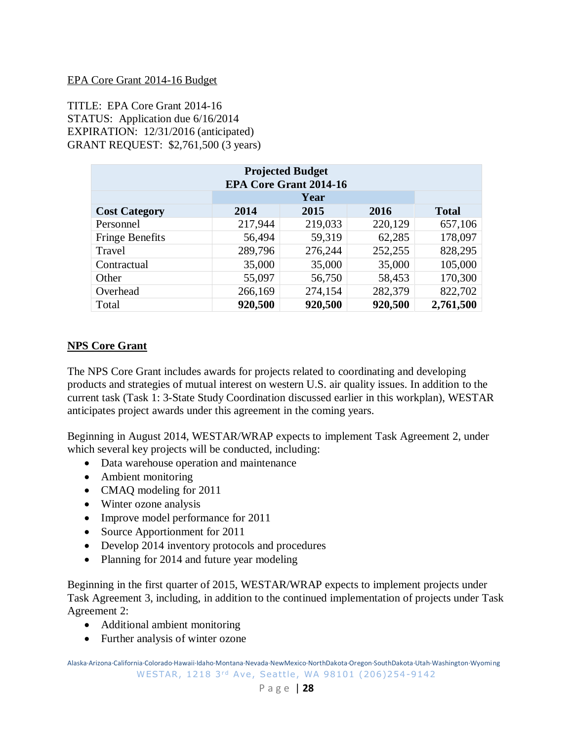#### EPA Core Grant 2014-16 Budget

TITLE: EPA Core Grant 2014-16 STATUS: Application due 6/16/2014 EXPIRATION: 12/31/2016 (anticipated) GRANT REQUEST: \$2,761,500 (3 years)

| <b>Projected Budget</b><br><b>EPA Core Grant 2014-16</b> |         |         |         |              |  |
|----------------------------------------------------------|---------|---------|---------|--------------|--|
|                                                          |         | Year    |         |              |  |
| <b>Cost Category</b>                                     | 2014    | 2015    | 2016    | <b>Total</b> |  |
| Personnel                                                | 217,944 | 219,033 | 220,129 | 657,106      |  |
| <b>Fringe Benefits</b>                                   | 56,494  | 59,319  | 62,285  | 178,097      |  |
| Travel                                                   | 289,796 | 276,244 | 252,255 | 828,295      |  |
| Contractual                                              | 35,000  | 35,000  | 35,000  | 105,000      |  |
| Other                                                    | 55,097  | 56,750  | 58,453  | 170,300      |  |
| Overhead                                                 | 266,169 | 274,154 | 282,379 | 822,702      |  |
| Total                                                    | 920,500 | 920,500 | 920,500 | 2,761,500    |  |

# <span id="page-27-0"></span>**NPS Core Grant**

The NPS Core Grant includes awards for projects related to coordinating and developing products and strategies of mutual interest on western U.S. air quality issues. In addition to the current task (Task 1: 3-State Study Coordination discussed earlier in this workplan), WESTAR anticipates project awards under this agreement in the coming years.

Beginning in August 2014, WESTAR/WRAP expects to implement Task Agreement 2, under which several key projects will be conducted, including:

- Data warehouse operation and maintenance
- Ambient monitoring
- CMAO modeling for 2011
- Winter ozone analysis
- Improve model performance for 2011
- Source Apportionment for 2011
- Develop 2014 inventory protocols and procedures
- Planning for 2014 and future year modeling

Beginning in the first quarter of 2015, WESTAR/WRAP expects to implement projects under Task Agreement 3, including, in addition to the continued implementation of projects under Task Agreement 2:

- Additional ambient monitoring
- Further analysis of winter ozone

Alaska·Arizona·California·Colorado·Hawaii·Idaho·Montana·Nevada·NewMexico·NorthDakota·Oregon·SouthDakota·Utah·Washington·Wyoming WESTAR, 1218 3rd Ave, Seattle, WA 98101 (206)254-9142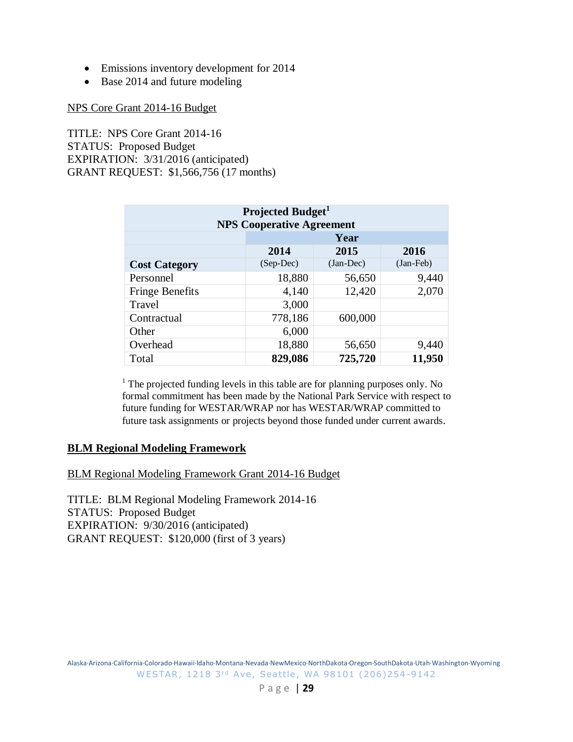- Emissions inventory development for 2014
- Base 2014 and future modeling

#### NPS Core Grant 2014-16 Budget

TITLE: NPS Core Grant 2014-16 STATUS: Proposed Budget EXPIRATION: 3/31/2016 (anticipated) GRANT REQUEST: \$1,566,756 (17 months)

| Projected Budget <sup>1</sup><br><b>NPS Cooperative Agreement</b> |                      |           |           |  |  |
|-------------------------------------------------------------------|----------------------|-----------|-----------|--|--|
|                                                                   | Year                 |           |           |  |  |
|                                                                   | 2014<br>2015<br>2016 |           |           |  |  |
| <b>Cost Category</b>                                              | (Sep-Dec)            | (Jan-Dec) | (Jan-Feb) |  |  |
| Personnel                                                         | 18,880               | 56,650    | 9,440     |  |  |
| <b>Fringe Benefits</b>                                            | 4,140                | 12,420    | 2,070     |  |  |
| Travel                                                            | 3,000                |           |           |  |  |
| Contractual                                                       | 778,186              | 600,000   |           |  |  |
| Other                                                             | 6,000                |           |           |  |  |
| Overhead                                                          | 18,880               | 56,650    | 9,440     |  |  |
| Total                                                             | 829,086              | 725,720   | 11,950    |  |  |

<sup>1</sup> The projected funding levels in this table are for planning purposes only. No formal commitment has been made by the National Park Service with respect to future funding for WESTAR/WRAP nor has WESTAR/WRAP committed to future task assignments or projects beyond those funded under current awards.

#### <span id="page-28-0"></span>**BLM Regional Modeling Framework**

BLM Regional Modeling Framework Grant 2014-16 Budget

TITLE: BLM Regional Modeling Framework 2014-16 STATUS: Proposed Budget EXPIRATION: 9/30/2016 (anticipated) GRANT REQUEST: \$120,000 (first of 3 years)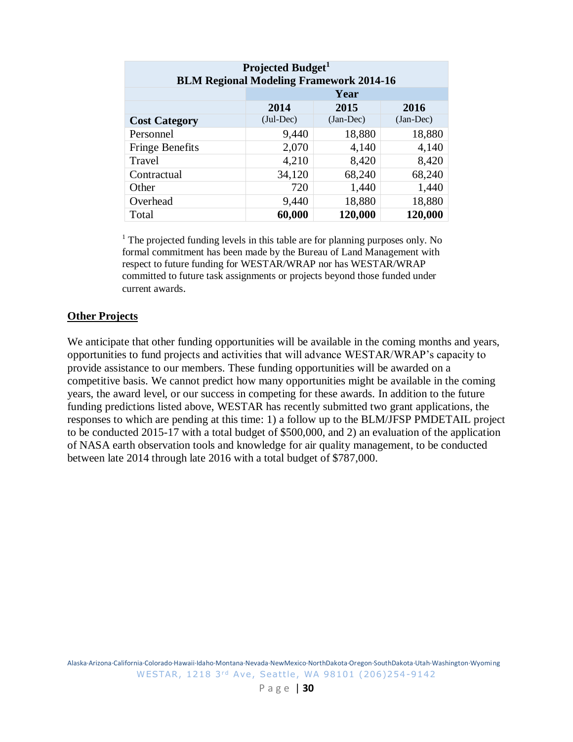| Projected Budget <sup>1</sup><br><b>BLM Regional Modeling Framework 2014-16</b> |                      |             |             |  |  |
|---------------------------------------------------------------------------------|----------------------|-------------|-------------|--|--|
|                                                                                 | Year                 |             |             |  |  |
|                                                                                 | 2014<br>2015<br>2016 |             |             |  |  |
| <b>Cost Category</b>                                                            | $(Jul-Dec)$          | $(Jan-Dec)$ | $(Jan-Dec)$ |  |  |
| Personnel                                                                       | 9,440                | 18,880      | 18,880      |  |  |
| <b>Fringe Benefits</b>                                                          | 2,070                | 4,140       | 4,140       |  |  |
| Travel                                                                          | 4,210                | 8,420       | 8,420       |  |  |
| Contractual                                                                     | 34,120               | 68,240      | 68,240      |  |  |
| Other                                                                           | 720                  | 1,440       | 1,440       |  |  |
| Overhead                                                                        | 9,440                | 18,880      | 18,880      |  |  |
| Total                                                                           | 60,000               | 120,000     | 120,000     |  |  |

<sup>1</sup> The projected funding levels in this table are for planning purposes only. No formal commitment has been made by the Bureau of Land Management with respect to future funding for WESTAR/WRAP nor has WESTAR/WRAP committed to future task assignments or projects beyond those funded under current awards.

#### <span id="page-29-0"></span>**Other Projects**

We anticipate that other funding opportunities will be available in the coming months and years, opportunities to fund projects and activities that will advance WESTAR/WRAP's capacity to provide assistance to our members. These funding opportunities will be awarded on a competitive basis. We cannot predict how many opportunities might be available in the coming years, the award level, or our success in competing for these awards. In addition to the future funding predictions listed above, WESTAR has recently submitted two grant applications, the responses to which are pending at this time: 1) a follow up to the BLM/JFSP PMDETAIL project to be conducted 2015-17 with a total budget of \$500,000, and 2) an evaluation of the application of NASA earth observation tools and knowledge for air quality management, to be conducted between late 2014 through late 2016 with a total budget of \$787,000.